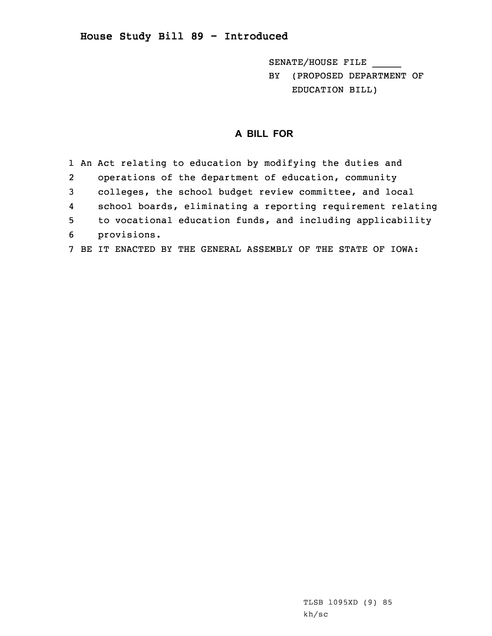## **House Study Bill 89 - Introduced**

SENATE/HOUSE FILE \_\_\_\_\_ BY (PROPOSED DEPARTMENT OF EDUCATION BILL)

## **A BILL FOR**

1 An Act relating to education by modifying the duties and 2 operations of the department of education, community 3 colleges, the school budget review committee, and local 4 school boards, eliminating <sup>a</sup> reporting requirement relating 5 to vocational education funds, and including applicability 6 provisions. 7 BE IT ENACTED BY THE GENERAL ASSEMBLY OF THE STATE OF IOWA: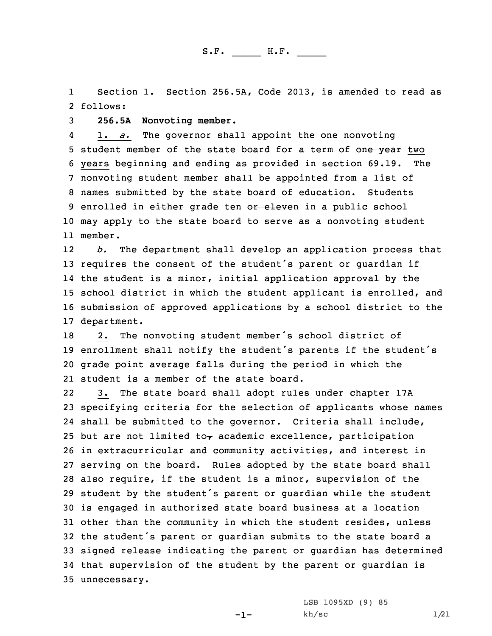1 Section 1. Section 256.5A, Code 2013, is amended to read as 2 follows:

3 **256.5A Nonvoting member.**

4 1. *a.* The governor shall appoint the one nonvoting 5 student member of the state board for a term of one year two 6 years beginning and ending as provided in section 69.19. The 7 nonvoting student member shall be appointed from <sup>a</sup> list of 8 names submitted by the state board of education. Students 9 enrolled in either grade ten or eleven in a public school 10 may apply to the state board to serve as <sup>a</sup> nonvoting student 11 member.

12 *b.* The department shall develop an application process that 13 requires the consent of the student's parent or quardian if 14 the student is <sup>a</sup> minor, initial application approval by the 15 school district in which the student applicant is enrolled, and 16 submission of approved applications by <sup>a</sup> school district to the 17 department.

18 2. The nonvoting student member's school district of enrollment shall notify the student's parents if the student's grade point average falls during the period in which the student is <sup>a</sup> member of the state board.

22 3. The state board shall adopt rules under chapter 17A specifying criteria for the selection of applicants whose names 24 shall be submitted to the governor. Criteria shall include, 25 but are not limited to $<sub>\tau</sub>$  academic excellence, participation</sub> in extracurricular and community activities, and interest in serving on the board. Rules adopted by the state board shall also require, if the student is <sup>a</sup> minor, supervision of the student by the student's parent or guardian while the student is engaged in authorized state board business at <sup>a</sup> location other than the community in which the student resides, unless the student's parent or guardian submits to the state board <sup>a</sup> signed release indicating the parent or guardian has determined that supervision of the student by the parent or guardian is unnecessary.

-1-

LSB 1095XD (9) 85  $kh/\text{sc}$  1/21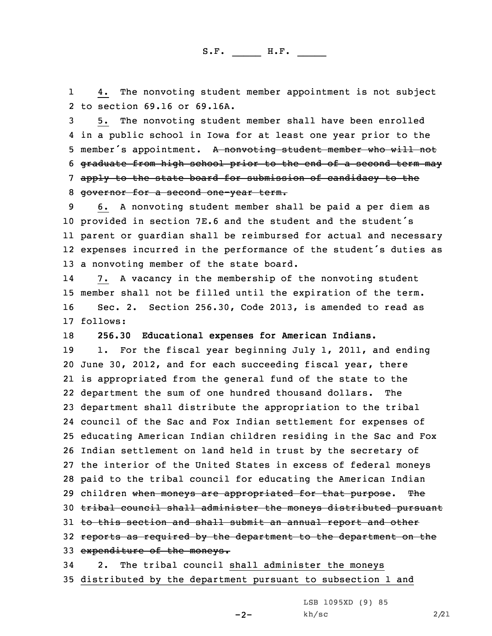1 4. The nonvoting student member appointment is not subject 2 to section 69.16 or 69.16A.

 5. The nonvoting student member shall have been enrolled in <sup>a</sup> public school in Iowa for at least one year prior to the 5 member's appointment. A nonvoting student member who will not graduate from high school prior to the end of <sup>a</sup> second term may apply to the state board for submission of candidacy to the governor for <sup>a</sup> second one-year term.

 6. <sup>A</sup> nonvoting student member shall be paid <sup>a</sup> per diem as provided in section 7E.6 and the student and the student's parent or guardian shall be reimbursed for actual and necessary expenses incurred in the performance of the student's duties as <sup>a</sup> nonvoting member of the state board.

14 7. <sup>A</sup> vacancy in the membership of the nonvoting student 15 member shall not be filled until the expiration of the term. 16 Sec. 2. Section 256.30, Code 2013, is amended to read as 17 follows:

18 **256.30 Educational expenses for American Indians.**

19 1. For the fiscal year beginning July 1, 2011, and ending June 30, 2012, and for each succeeding fiscal year, there is appropriated from the general fund of the state to the department the sum of one hundred thousand dollars. The department shall distribute the appropriation to the tribal council of the Sac and Fox Indian settlement for expenses of educating American Indian children residing in the Sac and Fox Indian settlement on land held in trust by the secretary of the interior of the United States in excess of federal moneys paid to the tribal council for educating the American Indian 29 children when moneys are appropriated for that purpose. The tribal council shall administer the moneys distributed pursuant 31 to this section and shall submit an annual report and other 32 reports as required by the department to the department on the 33 expenditure of the moneys.

34 2. The tribal council shall administer the moneys 35 distributed by the department pursuant to subsection 1 and

LSB 1095XD (9) 85

-2-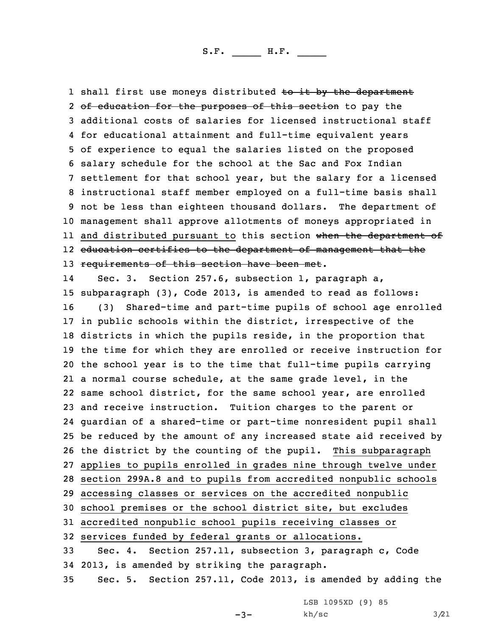1 shall first use moneys distributed <del>to it by the department</del> 2 <del>of education for the purposes of this section</del> to pay the additional costs of salaries for licensed instructional staff for educational attainment and full-time equivalent years of experience to equal the salaries listed on the proposed salary schedule for the school at the Sac and Fox Indian settlement for that school year, but the salary for <sup>a</sup> licensed instructional staff member employed on <sup>a</sup> full-time basis shall not be less than eighteen thousand dollars. The department of management shall approve allotments of moneys appropriated in ll and distributed pursuant to this section <del>when the department of</del> education certifies to the department of management that the 13 requirements of this section have been met.

14 Sec. 3. Section 257.6, subsection 1, paragraph a, subparagraph (3), Code 2013, is amended to read as follows: (3) Shared-time and part-time pupils of school age enrolled in public schools within the district, irrespective of the districts in which the pupils reside, in the proportion that the time for which they are enrolled or receive instruction for the school year is to the time that full-time pupils carrying <sup>a</sup> normal course schedule, at the same grade level, in the same school district, for the same school year, are enrolled and receive instruction. Tuition charges to the parent or guardian of <sup>a</sup> shared-time or part-time nonresident pupil shall be reduced by the amount of any increased state aid received by the district by the counting of the pupil. This subparagraph applies to pupils enrolled in grades nine through twelve under section 299A.8 and to pupils from accredited nonpublic schools accessing classes or services on the accredited nonpublic school premises or the school district site, but excludes accredited nonpublic school pupils receiving classes or services funded by federal grants or allocations. Sec. 4. Section 257.11, subsection 3, paragraph c, Code 2013, is amended by striking the paragraph. Sec. 5. Section 257.11, Code 2013, is amended by adding the

LSB 1095XD (9) 85

-3-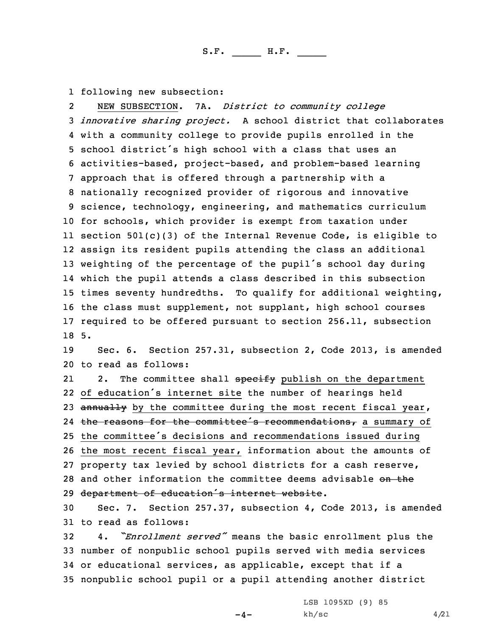1 following new subsection:

2 NEW SUBSECTION. 7A. *District to community college innovative sharing project.* <sup>A</sup> school district that collaborates with <sup>a</sup> community college to provide pupils enrolled in the school district's high school with <sup>a</sup> class that uses an activities-based, project-based, and problem-based learning approach that is offered through <sup>a</sup> partnership with <sup>a</sup> nationally recognized provider of rigorous and innovative science, technology, engineering, and mathematics curriculum for schools, which provider is exempt from taxation under section 501(c)(3) of the Internal Revenue Code, is eligible to assign its resident pupils attending the class an additional weighting of the percentage of the pupil's school day during which the pupil attends <sup>a</sup> class described in this subsection times seventy hundredths. To qualify for additional weighting, the class must supplement, not supplant, high school courses required to be offered pursuant to section 256.11, subsection 18 5.

19 Sec. 6. Section 257.31, subsection 2, Code 2013, is amended 20 to read as follows:

212. The committee shall specify publish on the department 22 of education's internet site the number of hearings held 23 annually by the committee during the most recent fiscal year, 24 the reasons for the committee's recommendations, a summary of <sup>25</sup> the committee's decisions and recommendations issued during 26 the most recent fiscal year, information about the amounts of 27 property tax levied by school districts for <sup>a</sup> cash reserve, 28 and other information the committee deems advisable on the 29 department of education's internet website.

30 Sec. 7. Section 257.37, subsection 4, Code 2013, is amended 31 to read as follows:

 4. *"Enrollment served"* means the basic enrollment plus the number of nonpublic school pupils served with media services or educational services, as applicable, except that if <sup>a</sup> nonpublic school pupil or <sup>a</sup> pupil attending another district

 $-4-$ 

LSB 1095XD (9) 85  $kh/\text{sc}$  4/21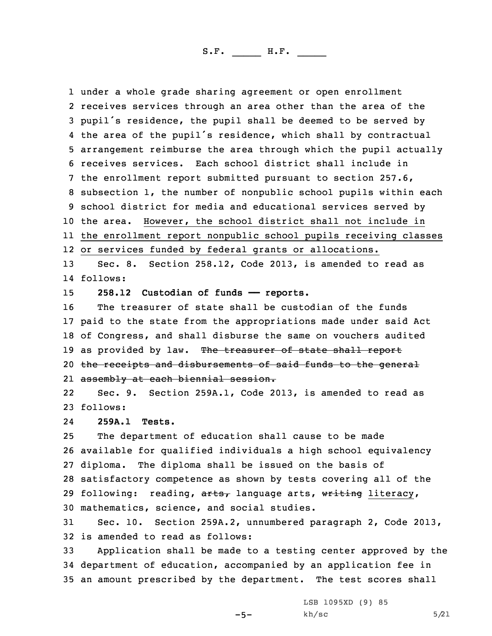under <sup>a</sup> whole grade sharing agreement or open enrollment receives services through an area other than the area of the pupil's residence, the pupil shall be deemed to be served by the area of the pupil's residence, which shall by contractual arrangement reimburse the area through which the pupil actually receives services. Each school district shall include in the enrollment report submitted pursuant to section 257.6, subsection 1, the number of nonpublic school pupils within each school district for media and educational services served by the area. However, the school district shall not include in the enrollment report nonpublic school pupils receiving classes or services funded by federal grants or allocations.

13 Sec. 8. Section 258.12, Code 2013, is amended to read as 14 follows:

15 **258.12 Custodian of funds —— reports.**

 The treasurer of state shall be custodian of the funds paid to the state from the appropriations made under said Act of Congress, and shall disburse the same on vouchers audited 19 as provided by law. The treasurer of state shall report 20 the receipts and disbursements of said funds to the general assembly at each biennial session.

22 Sec. 9. Section 259A.1, Code 2013, is amended to read as 23 follows:

24**259A.1 Tests.**

 The department of education shall cause to be made available for qualified individuals <sup>a</sup> high school equivalency diploma. The diploma shall be issued on the basis of satisfactory competence as shown by tests covering all of the 29 following: reading, arts, language arts, writing literacy, mathematics, science, and social studies.

31 Sec. 10. Section 259A.2, unnumbered paragraph 2, Code 2013, 32 is amended to read as follows:

33 Application shall be made to <sup>a</sup> testing center approved by the 34 department of education, accompanied by an application fee in 35 an amount prescribed by the department. The test scores shall

-5-

LSB 1095XD (9) 85  $kh/sec$  5/21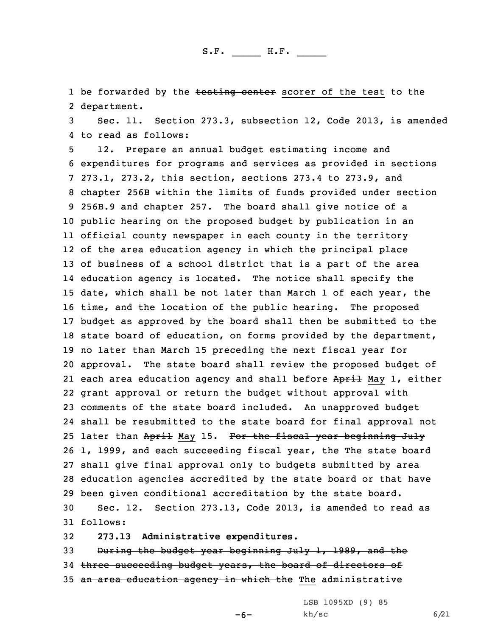1 be forwarded by the <del>testing center</del> scorer of the test to the 2 department.

3 Sec. 11. Section 273.3, subsection 12, Code 2013, is amended 4 to read as follows:

 12. Prepare an annual budget estimating income and expenditures for programs and services as provided in sections 273.1, 273.2, this section, sections 273.4 to 273.9, and chapter 256B within the limits of funds provided under section 256B.9 and chapter 257. The board shall give notice of <sup>a</sup> public hearing on the proposed budget by publication in an official county newspaper in each county in the territory of the area education agency in which the principal place of business of <sup>a</sup> school district that is <sup>a</sup> part of the area education agency is located. The notice shall specify the date, which shall be not later than March 1 of each year, the time, and the location of the public hearing. The proposed budget as approved by the board shall then be submitted to the state board of education, on forms provided by the department, no later than March 15 preceding the next fiscal year for approval. The state board shall review the proposed budget of 21 each area education agency and shall before <del>April</del> May 1, either grant approval or return the budget without approval with comments of the state board included. An unapproved budget shall be resubmitted to the state board for final approval not 25 later than April May 15. For the fiscal year beginning July  $\pm$ , 1999, and each succeeding fiscal year, the The state board shall give final approval only to budgets submitted by area education agencies accredited by the state board or that have been given conditional accreditation by the state board. Sec. 12. Section 273.13, Code 2013, is amended to read as

31 follows:

32 **273.13 Administrative expenditures.**

33 During the budget year beginning July 1, 1989, and the 34 three succeeding budget years, the board of directors of 35 an area education agency in which the The administrative

> LSB 1095XD (9) 85  $kh/\text{sc}$  6/21

-6-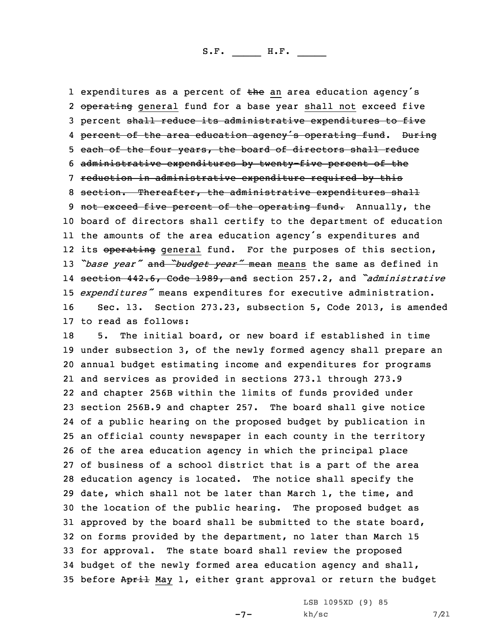1 expenditures as a percent of the an area education agency's 2 <del>operating</del> general fund for a base year shall not exceed five percent shall reduce its administrative expenditures to five percent of the area education agency's operating fund. During each of the four years, the board of directors shall reduce administrative expenditures by twenty-five percent of the reduction in administrative expenditure required by this section. Thereafter, the administrative expenditures shall 9 not exceed five percent of the operating fund. Annually, the board of directors shall certify to the department of education the amounts of the area education agency's expenditures and 12 its <del>operating</del> general fund. For the purposes of this section, *"base year"* and *"budget year"* mean means the same as defined in section 442.6, Code 1989, and section 257.2, and *"administrative expenditures"* means expenditures for executive administration. Sec. 13. Section 273.23, subsection 5, Code 2013, is amended to read as follows:

 5. The initial board, or new board if established in time under subsection 3, of the newly formed agency shall prepare an annual budget estimating income and expenditures for programs and services as provided in sections 273.1 through 273.9 and chapter 256B within the limits of funds provided under section 256B.9 and chapter 257. The board shall give notice of <sup>a</sup> public hearing on the proposed budget by publication in an official county newspaper in each county in the territory of the area education agency in which the principal place of business of <sup>a</sup> school district that is <sup>a</sup> part of the area education agency is located. The notice shall specify the date, which shall not be later than March 1, the time, and the location of the public hearing. The proposed budget as approved by the board shall be submitted to the state board, on forms provided by the department, no later than March 15 for approval. The state board shall review the proposed budget of the newly formed area education agency and shall, 35 before April May 1, either grant approval or return the budget

 $-7-$ 

LSB 1095XD (9) 85  $kh/sec$  7/21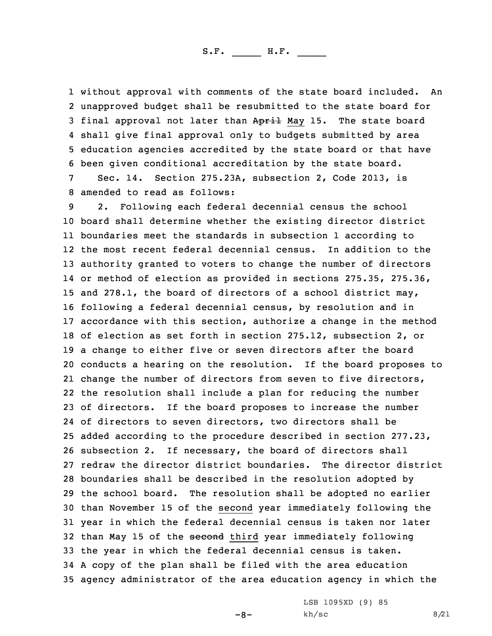without approval with comments of the state board included. An unapproved budget shall be resubmitted to the state board for 3 final approval not later than April May 15. The state board shall give final approval only to budgets submitted by area education agencies accredited by the state board or that have been given conditional accreditation by the state board.

7 Sec. 14. Section 275.23A, subsection 2, Code 2013, is 8 amended to read as follows:

 2. Following each federal decennial census the school board shall determine whether the existing director district boundaries meet the standards in subsection 1 according to the most recent federal decennial census. In addition to the authority granted to voters to change the number of directors or method of election as provided in sections 275.35, 275.36, and 278.1, the board of directors of <sup>a</sup> school district may, following <sup>a</sup> federal decennial census, by resolution and in accordance with this section, authorize <sup>a</sup> change in the method of election as set forth in section 275.12, subsection 2, or <sup>a</sup> change to either five or seven directors after the board conducts <sup>a</sup> hearing on the resolution. If the board proposes to change the number of directors from seven to five directors, the resolution shall include <sup>a</sup> plan for reducing the number of directors. If the board proposes to increase the number of directors to seven directors, two directors shall be added according to the procedure described in section 277.23, subsection 2. If necessary, the board of directors shall redraw the director district boundaries. The director district boundaries shall be described in the resolution adopted by the school board. The resolution shall be adopted no earlier than November 15 of the second year immediately following the year in which the federal decennial census is taken nor later 32 than May 15 of the second third year immediately following the year in which the federal decennial census is taken. <sup>A</sup> copy of the plan shall be filed with the area education agency administrator of the area education agency in which the

-8-

LSB 1095XD (9) 85  $kh/sec$  8/21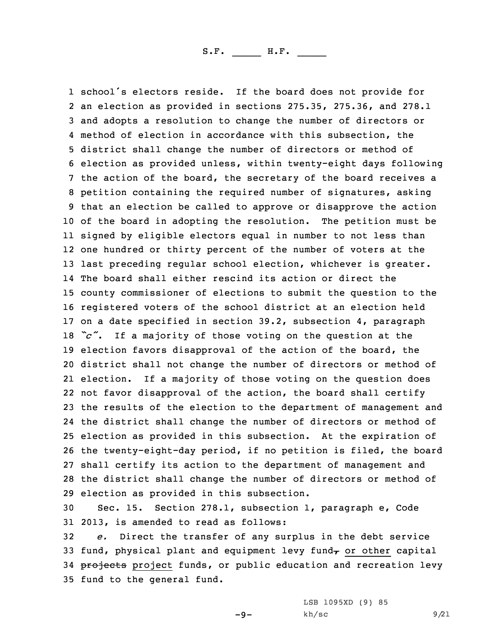school's electors reside. If the board does not provide for an election as provided in sections 275.35, 275.36, and 278.1 and adopts <sup>a</sup> resolution to change the number of directors or method of election in accordance with this subsection, the district shall change the number of directors or method of election as provided unless, within twenty-eight days following the action of the board, the secretary of the board receives <sup>a</sup> petition containing the required number of signatures, asking that an election be called to approve or disapprove the action of the board in adopting the resolution. The petition must be signed by eligible electors equal in number to not less than one hundred or thirty percent of the number of voters at the last preceding regular school election, whichever is greater. The board shall either rescind its action or direct the county commissioner of elections to submit the question to the registered voters of the school district at an election held on <sup>a</sup> date specified in section 39.2, subsection 4, paragraph *"c"*. If <sup>a</sup> majority of those voting on the question at the election favors disapproval of the action of the board, the district shall not change the number of directors or method of election. If <sup>a</sup> majority of those voting on the question does not favor disapproval of the action, the board shall certify the results of the election to the department of management and the district shall change the number of directors or method of election as provided in this subsection. At the expiration of the twenty-eight-day period, if no petition is filed, the board shall certify its action to the department of management and the district shall change the number of directors or method of election as provided in this subsection.

30 Sec. 15. Section 278.1, subsection 1, paragraph e, Code 31 2013, is amended to read as follows:

32 *e.* Direct the transfer of any surplus in the debt service 33 fund, physical plant and equipment levy fund $<sub>\tau</sub>$  or other capital</sub> 34 projects project funds, or public education and recreation levy 35 fund to the general fund.

 $-9-$ 

LSB 1095XD (9) 85  $kh/\text{sc}$  9/21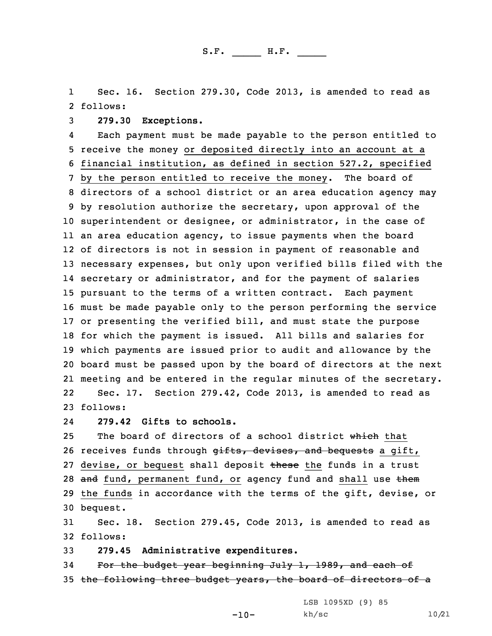1 Sec. 16. Section 279.30, Code 2013, is amended to read as 2 follows:

3 **279.30 Exceptions.**

4 Each payment must be made payable to the person entitled to receive the money or deposited directly into an account at <sup>a</sup> financial institution, as defined in section 527.2, specified by the person entitled to receive the money. The board of directors of <sup>a</sup> school district or an area education agency may by resolution authorize the secretary, upon approval of the superintendent or designee, or administrator, in the case of an area education agency, to issue payments when the board of directors is not in session in payment of reasonable and necessary expenses, but only upon verified bills filed with the secretary or administrator, and for the payment of salaries pursuant to the terms of <sup>a</sup> written contract. Each payment must be made payable only to the person performing the service or presenting the verified bill, and must state the purpose for which the payment is issued. All bills and salaries for which payments are issued prior to audit and allowance by the board must be passed upon by the board of directors at the next meeting and be entered in the regular minutes of the secretary. 22 Sec. 17. Section 279.42, Code 2013, is amended to read as 23 follows:

24**279.42 Gifts to schools.**

25 The board of directors of a school district which that 26 receives funds through gifts, devises, and bequests a gift, 27 devise, or bequest shall deposit these the funds in a trust 28 and fund, permanent fund, or agency fund and shall use them 29 the funds in accordance with the terms of the gift, devise, or 30 bequest.

31 Sec. 18. Section 279.45, Code 2013, is amended to read as 32 follows:

33 **279.45 Administrative expenditures.**

34 For the budget year beginning July 1, 1989, and each of 35 the following three budget years, the board of directors of a

LSB 1095XD (9) 85

-10-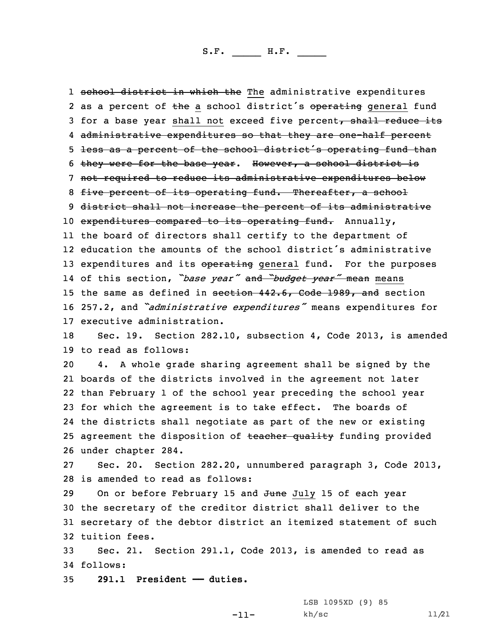1 <del>school district in which the</del> The administrative expenditures 2 as a percent of the a school district's operating general fund 3 for a base year shall not exceed five percent, shall reduce its 4 administrative expenditures so that they are one-half percent <sup>5</sup> less as <sup>a</sup> percent of the school district's operating fund than 6 they were for the base year. However, <sup>a</sup> school district is 7 not required to reduce its administrative expenditures below 8 five percent of its operating fund. Thereafter, a school 9 district shall not increase the percent of its administrative 10 expenditures compared to its operating fund. Annually, 11 the board of directors shall certify to the department of 12 education the amounts of the school district's administrative 13 expenditures and its operating general fund. For the purposes 14 of this section, *"base year"* and *"budget year"* mean means 15 the same as defined in section 442.6, Code 1989, and section <sup>16</sup> 257.2, and *"administrative expenditures"* means expenditures for 17 executive administration.

18 Sec. 19. Section 282.10, subsection 4, Code 2013, is amended 19 to read as follows:

 4. <sup>A</sup> whole grade sharing agreement shall be signed by the boards of the districts involved in the agreement not later than February 1 of the school year preceding the school year for which the agreement is to take effect. The boards of the districts shall negotiate as part of the new or existing 25 agreement the disposition of teacher quality funding provided under chapter 284.

27 Sec. 20. Section 282.20, unnumbered paragraph 3, Code 2013, 28 is amended to read as follows:

29 On or before February 15 and June July 15 of each year the secretary of the creditor district shall deliver to the secretary of the debtor district an itemized statement of such tuition fees.

33 Sec. 21. Section 291.1, Code 2013, is amended to read as 34 follows:

35 **291.1 President —— duties.**

LSB 1095XD (9) 85 kh/sc 11/21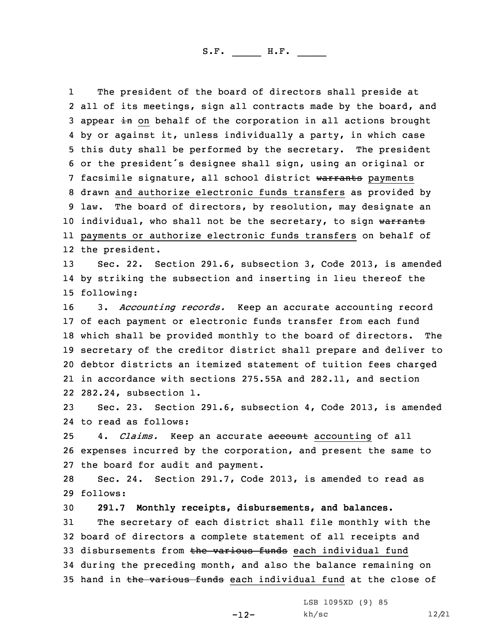1 The president of the board of directors shall preside at 2 all of its meetings, sign all contracts made by the board, and 3 appear in on behalf of the corporation in all actions brought 4 by or against it, unless individually <sup>a</sup> party, in which case 5 this duty shall be performed by the secretary. The president <sup>6</sup> or the president's designee shall sign, using an original or 7 facsimile signature, all school district warrants payments 8 drawn and authorize electronic funds transfers as provided by 9 law. The board of directors, by resolution, may designate an 10 individual, who shall not be the secretary, to sign warrants 11 payments or authorize electronic funds transfers on behalf of 12 the president.

13 Sec. 22. Section 291.6, subsection 3, Code 2013, is amended 14 by striking the subsection and inserting in lieu thereof the 15 following:

 3. *Accounting records.* Keep an accurate accounting record of each payment or electronic funds transfer from each fund which shall be provided monthly to the board of directors. The secretary of the creditor district shall prepare and deliver to debtor districts an itemized statement of tuition fees charged in accordance with sections 275.55A and 282.11, and section 282.24, subsection 1.

23 Sec. 23. Section 291.6, subsection 4, Code 2013, is amended 24 to read as follows:

25 4. *Claims.* Keep an accurate account accounting of all 26 expenses incurred by the corporation, and present the same to 27 the board for audit and payment.

28 Sec. 24. Section 291.7, Code 2013, is amended to read as 29 follows:

 **291.7 Monthly receipts, disbursements, and balances.** The secretary of each district shall file monthly with the board of directors <sup>a</sup> complete statement of all receipts and 33 disbursements from the various funds each individual fund during the preceding month, and also the balance remaining on 35 hand in the various funds each individual fund at the close of

-12-

LSB 1095XD (9) 85 kh/sc 12/21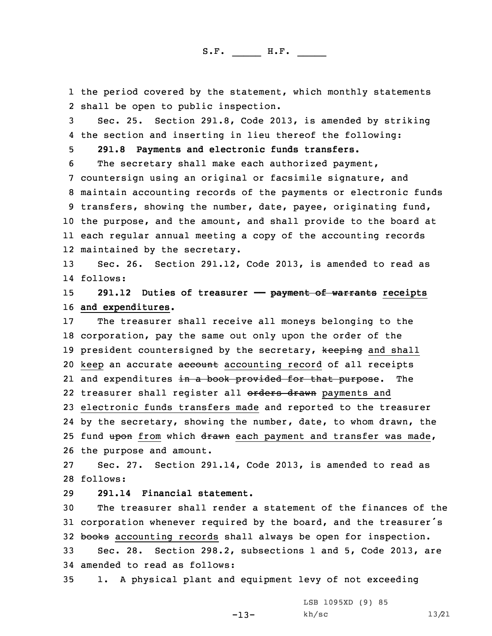1 the period covered by the statement, which monthly statements 2 shall be open to public inspection.

3 Sec. 25. Section 291.8, Code 2013, is amended by striking 4 the section and inserting in lieu thereof the following:

5 **291.8 Payments and electronic funds transfers.**

 The secretary shall make each authorized payment, countersign using an original or facsimile signature, and maintain accounting records of the payments or electronic funds transfers, showing the number, date, payee, originating fund, the purpose, and the amount, and shall provide to the board at each regular annual meeting <sup>a</sup> copy of the accounting records maintained by the secretary.

13 Sec. 26. Section 291.12, Code 2013, is amended to read as 14 follows:

15 **291.12 Duties of treasurer —— payment of warrants receipts** 16 **and expenditures.**

17 The treasurer shall receive all moneys belonging to the 18 corporation, pay the same out only upon the order of the 19 president countersigned by the secretary, keeping and shall 20 keep an accurate account accounting record of all receipts 21 and expenditures <del>in a book provided for that purpose</del>. The 22 treasurer shall register all <del>orders drawn</del> payments and 23 electronic funds transfers made and reported to the treasurer 24 by the secretary, showing the number, date, to whom drawn, the 25 fund upon from which drawn each payment and transfer was made, 26 the purpose and amount.

27 Sec. 27. Section 291.14, Code 2013, is amended to read as 28 follows:

29 **291.14 Financial statement.**

30 The treasurer shall render <sup>a</sup> statement of the finances of the <sup>31</sup> corporation whenever required by the board, and the treasurer's 32 books accounting records shall always be open for inspection.

33 Sec. 28. Section 298.2, subsections 1 and 5, Code 2013, are 34 amended to read as follows:

-13-

35 1. <sup>A</sup> physical plant and equipment levy of not exceeding

LSB 1095XD (9) 85 kh/sc 13/21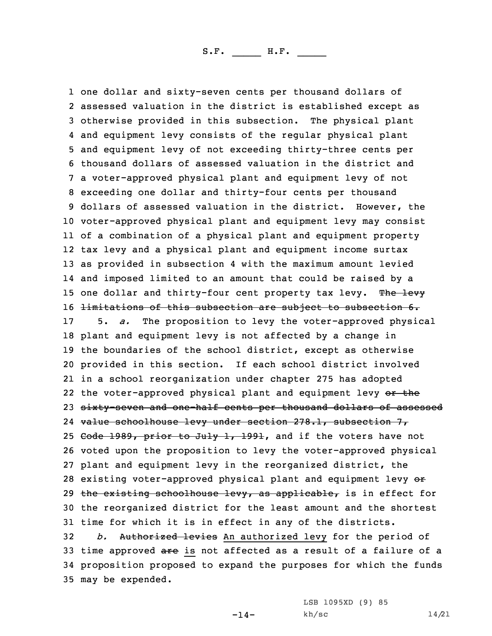one dollar and sixty-seven cents per thousand dollars of assessed valuation in the district is established except as otherwise provided in this subsection. The physical plant and equipment levy consists of the regular physical plant and equipment levy of not exceeding thirty-three cents per thousand dollars of assessed valuation in the district and <sup>a</sup> voter-approved physical plant and equipment levy of not exceeding one dollar and thirty-four cents per thousand dollars of assessed valuation in the district. However, the voter-approved physical plant and equipment levy may consist of <sup>a</sup> combination of <sup>a</sup> physical plant and equipment property tax levy and <sup>a</sup> physical plant and equipment income surtax as provided in subsection 4 with the maximum amount levied and imposed limited to an amount that could be raised by <sup>a</sup> 15 one dollar and thirty-four cent property tax levy. The levy 16 <del>limitations of this subsection are subject to subsection 6.</del> 5. *a.* The proposition to levy the voter-approved physical plant and equipment levy is not affected by <sup>a</sup> change in the boundaries of the school district, except as otherwise provided in this section. If each school district involved in <sup>a</sup> school reorganization under chapter 275 has adopted 22 the voter-approved physical plant and equipment levy or the sixty-seven and one-half cents per thousand dollars of assessed value schoolhouse levy under section 278.1, subsection 7, 25 Code 1989, prior to July 1, 1991, and if the voters have not voted upon the proposition to levy the voter-approved physical plant and equipment levy in the reorganized district, the 28 existing voter-approved physical plant and equipment levy or 29 the existing schoolhouse levy, as applicable, is in effect for the reorganized district for the least amount and the shortest time for which it is in effect in any of the districts. *b.* Authorized levies An authorized levy for the period of 33 time approved are is not affected as a result of a failure of a proposition proposed to expand the purposes for which the funds may be expended.

 $-14-$ 

LSB 1095XD (9) 85 kh/sc 14/21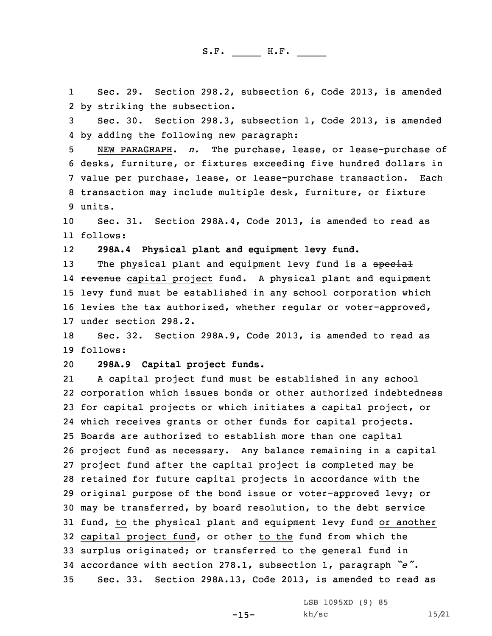1 Sec. 29. Section 298.2, subsection 6, Code 2013, is amended 2 by striking the subsection.

3 Sec. 30. Section 298.3, subsection 1, Code 2013, is amended 4 by adding the following new paragraph:

 NEW PARAGRAPH. *n.* The purchase, lease, or lease-purchase of desks, furniture, or fixtures exceeding five hundred dollars in value per purchase, lease, or lease-purchase transaction. Each transaction may include multiple desk, furniture, or fixture 9 units.

10 Sec. 31. Section 298A.4, Code 2013, is amended to read as 11 follows:

12**298A.4 Physical plant and equipment levy fund.**

13 The physical plant and equipment levy fund is a special 14 <del>revenue</del> capital project fund. A physical plant and equipment 15 levy fund must be established in any school corporation which 16 levies the tax authorized, whether regular or voter-approved, 17 under section 298.2.

18 Sec. 32. Section 298A.9, Code 2013, is amended to read as 19 follows:

20 **298A.9 Capital project funds.**

21 <sup>A</sup> capital project fund must be established in any school corporation which issues bonds or other authorized indebtedness for capital projects or which initiates <sup>a</sup> capital project, or which receives grants or other funds for capital projects. Boards are authorized to establish more than one capital project fund as necessary. Any balance remaining in <sup>a</sup> capital project fund after the capital project is completed may be retained for future capital projects in accordance with the original purpose of the bond issue or voter-approved levy; or may be transferred, by board resolution, to the debt service fund, to the physical plant and equipment levy fund or another 32 capital project fund, or other to the fund from which the surplus originated; or transferred to the general fund in accordance with section 278.1, subsection 1, paragraph *"e"*. Sec. 33. Section 298A.13, Code 2013, is amended to read as

 $-15-$ 

LSB 1095XD (9) 85 kh/sc 15/21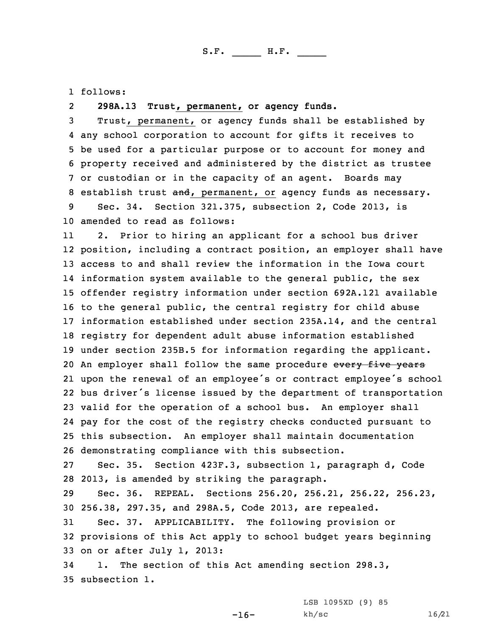1 follows:

## 2**298A.13 Trust, permanent, or agency funds.**

 Trust, permanent, or agency funds shall be established by any school corporation to account for gifts it receives to be used for <sup>a</sup> particular purpose or to account for money and property received and administered by the district as trustee or custodian or in the capacity of an agent. Boards may 8 establish trust and, permanent, or agency funds as necessary. Sec. 34. Section 321.375, subsection 2, Code 2013, is

10 amended to read as follows:

11 2. Prior to hiring an applicant for <sup>a</sup> school bus driver position, including <sup>a</sup> contract position, an employer shall have access to and shall review the information in the Iowa court information system available to the general public, the sex offender registry information under section 692A.121 available to the general public, the central registry for child abuse information established under section 235A.14, and the central registry for dependent adult abuse information established under section 235B.5 for information regarding the applicant. 20 An employer shall follow the same procedure every five years upon the renewal of an employee's or contract employee's school bus driver's license issued by the department of transportation valid for the operation of <sup>a</sup> school bus. An employer shall pay for the cost of the registry checks conducted pursuant to this subsection. An employer shall maintain documentation demonstrating compliance with this subsection.

27 Sec. 35. Section 423F.3, subsection 1, paragraph d, Code 28 2013, is amended by striking the paragraph.

29 Sec. 36. REPEAL. Sections 256.20, 256.21, 256.22, 256.23, 30 256.38, 297.35, and 298A.5, Code 2013, are repealed.

31 Sec. 37. APPLICABILITY. The following provision or 32 provisions of this Act apply to school budget years beginning 33 on or after July 1, 2013:

 $-16-$ 

34 1. The section of this Act amending section 298.3, 35 subsection 1.

> LSB 1095XD (9) 85 kh/sc 16/21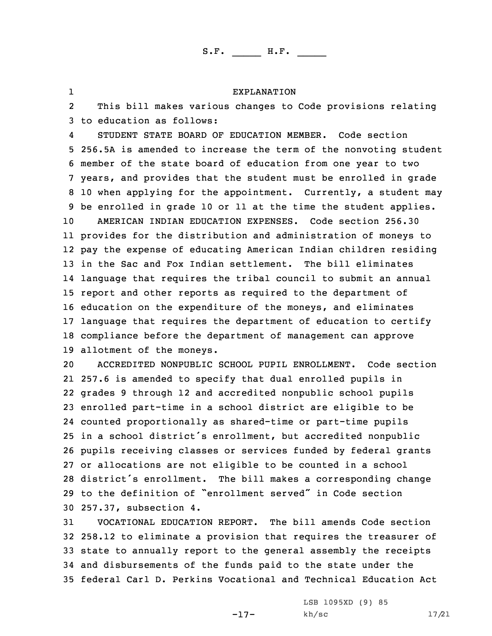## EXPLANATION

2 This bill makes various changes to Code provisions relating 3 to education as follows:

1

4 STUDENT STATE BOARD OF EDUCATION MEMBER. Code section 256.5A is amended to increase the term of the nonvoting student member of the state board of education from one year to two years, and provides that the student must be enrolled in grade 10 when applying for the appointment. Currently, <sup>a</sup> student may be enrolled in grade 10 or 11 at the time the student applies. AMERICAN INDIAN EDUCATION EXPENSES. Code section 256.30 provides for the distribution and administration of moneys to pay the expense of educating American Indian children residing in the Sac and Fox Indian settlement. The bill eliminates language that requires the tribal council to submit an annual report and other reports as required to the department of education on the expenditure of the moneys, and eliminates language that requires the department of education to certify compliance before the department of management can approve allotment of the moneys.

 ACCREDITED NONPUBLIC SCHOOL PUPIL ENROLLMENT. Code section 257.6 is amended to specify that dual enrolled pupils in grades 9 through 12 and accredited nonpublic school pupils enrolled part-time in <sup>a</sup> school district are eligible to be counted proportionally as shared-time or part-time pupils in <sup>a</sup> school district's enrollment, but accredited nonpublic pupils receiving classes or services funded by federal grants or allocations are not eligible to be counted in <sup>a</sup> school district's enrollment. The bill makes <sup>a</sup> corresponding change to the definition of "enrollment served" in Code section 257.37, subsection 4.

 VOCATIONAL EDUCATION REPORT. The bill amends Code section 258.12 to eliminate <sup>a</sup> provision that requires the treasurer of state to annually report to the general assembly the receipts and disbursements of the funds paid to the state under the federal Carl D. Perkins Vocational and Technical Education Act

-17-

LSB 1095XD (9) 85 kh/sc 17/21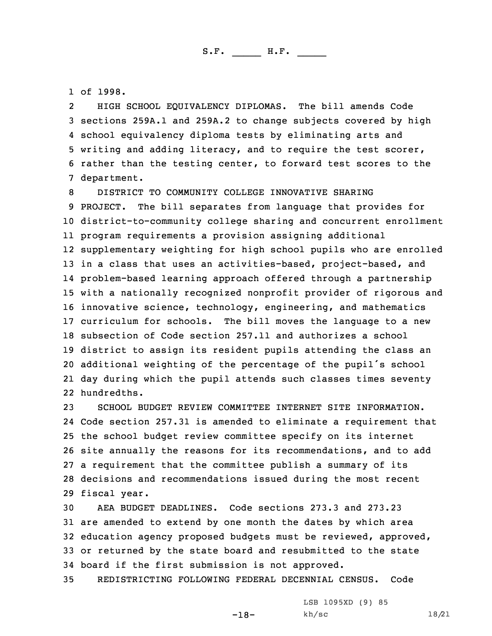1 of 1998.

2 HIGH SCHOOL EQUIVALENCY DIPLOMAS. The bill amends Code sections 259A.1 and 259A.2 to change subjects covered by high school equivalency diploma tests by eliminating arts and writing and adding literacy, and to require the test scorer, rather than the testing center, to forward test scores to the department.

 DISTRICT TO COMMUNITY COLLEGE INNOVATIVE SHARING PROJECT. The bill separates from language that provides for district-to-community college sharing and concurrent enrollment program requirements <sup>a</sup> provision assigning additional supplementary weighting for high school pupils who are enrolled in <sup>a</sup> class that uses an activities-based, project-based, and problem-based learning approach offered through <sup>a</sup> partnership with <sup>a</sup> nationally recognized nonprofit provider of rigorous and innovative science, technology, engineering, and mathematics curriculum for schools. The bill moves the language to <sup>a</sup> new subsection of Code section 257.11 and authorizes <sup>a</sup> school district to assign its resident pupils attending the class an additional weighting of the percentage of the pupil's school day during which the pupil attends such classes times seventy hundredths.

 SCHOOL BUDGET REVIEW COMMITTEE INTERNET SITE INFORMATION. Code section 257.31 is amended to eliminate <sup>a</sup> requirement that the school budget review committee specify on its internet site annually the reasons for its recommendations, and to add <sup>a</sup> requirement that the committee publish <sup>a</sup> summary of its decisions and recommendations issued during the most recent fiscal year.

 AEA BUDGET DEADLINES. Code sections 273.3 and 273.23 are amended to extend by one month the dates by which area education agency proposed budgets must be reviewed, approved, or returned by the state board and resubmitted to the state board if the first submission is not approved.

35 REDISTRICTING FOLLOWING FEDERAL DECENNIAL CENSUS. Code

-18-

LSB 1095XD (9) 85 kh/sc 18/21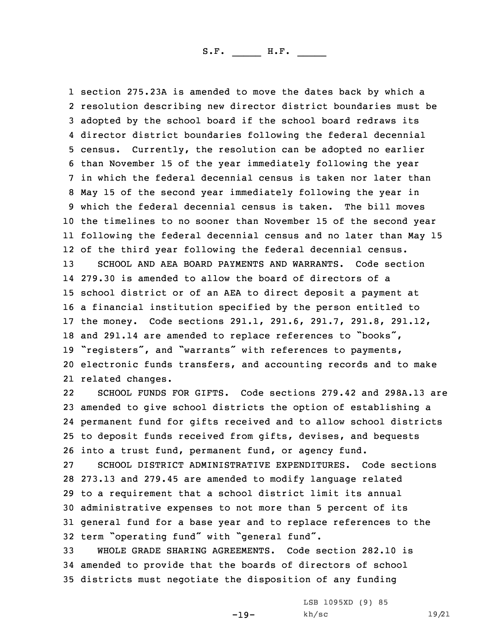section 275.23A is amended to move the dates back by which <sup>a</sup> resolution describing new director district boundaries must be adopted by the school board if the school board redraws its director district boundaries following the federal decennial census. Currently, the resolution can be adopted no earlier than November 15 of the year immediately following the year in which the federal decennial census is taken nor later than May 15 of the second year immediately following the year in which the federal decennial census is taken. The bill moves the timelines to no sooner than November 15 of the second year following the federal decennial census and no later than May 15 of the third year following the federal decennial census. SCHOOL AND AEA BOARD PAYMENTS AND WARRANTS. Code section 279.30 is amended to allow the board of directors of <sup>a</sup> school district or of an AEA to direct deposit <sup>a</sup> payment at <sup>a</sup> financial institution specified by the person entitled to the money. Code sections 291.1, 291.6, 291.7, 291.8, 291.12, and 291.14 are amended to replace references to "books", "registers", and "warrants" with references to payments, electronic funds transfers, and accounting records and to make related changes.

22 SCHOOL FUNDS FOR GIFTS. Code sections 279.42 and 298A.13 are amended to give school districts the option of establishing <sup>a</sup> permanent fund for gifts received and to allow school districts to deposit funds received from gifts, devises, and bequests into <sup>a</sup> trust fund, permanent fund, or agency fund.

 SCHOOL DISTRICT ADMINISTRATIVE EXPENDITURES. Code sections 273.13 and 279.45 are amended to modify language related to <sup>a</sup> requirement that <sup>a</sup> school district limit its annual administrative expenses to not more than 5 percent of its general fund for <sup>a</sup> base year and to replace references to the term "operating fund" with "general fund".

33 WHOLE GRADE SHARING AGREEMENTS. Code section 282.10 is 34 amended to provide that the boards of directors of school 35 districts must negotiate the disposition of any funding

-19-

LSB 1095XD (9) 85 kh/sc 19/21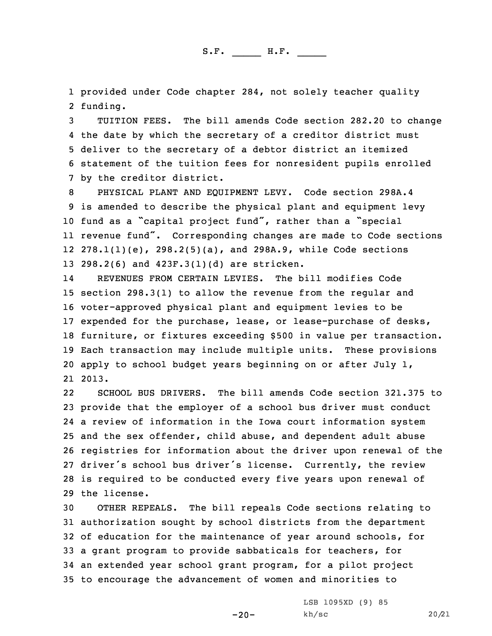1 provided under Code chapter 284, not solely teacher quality 2 funding.

 TUITION FEES. The bill amends Code section 282.20 to change the date by which the secretary of <sup>a</sup> creditor district must deliver to the secretary of <sup>a</sup> debtor district an itemized statement of the tuition fees for nonresident pupils enrolled by the creditor district.

 PHYSICAL PLANT AND EQUIPMENT LEVY. Code section 298A.4 is amended to describe the physical plant and equipment levy fund as <sup>a</sup> "capital project fund", rather than <sup>a</sup> "special revenue fund". Corresponding changes are made to Code sections 278.1(1)(e), 298.2(5)(a), and 298A.9, while Code sections 298.2(6) and 423F.3(1)(d) are stricken.

14 REVENUES FROM CERTAIN LEVIES. The bill modifies Code 15 section 298.3(1) to allow the revenue from the regular and 16 voter-approved physical plant and equipment levies to be 17 expended for the purchase, lease, or lease-purchase of desks, 18 furniture, or fixtures exceeding \$500 in value per transaction. 19 Each transaction may include multiple units. These provisions 20 apply to school budget years beginning on or after July 1, 21 2013.

22 SCHOOL BUS DRIVERS. The bill amends Code section 321.375 to provide that the employer of <sup>a</sup> school bus driver must conduct <sup>a</sup> review of information in the Iowa court information system and the sex offender, child abuse, and dependent adult abuse registries for information about the driver upon renewal of the driver's school bus driver's license. Currently, the review is required to be conducted every five years upon renewal of the license.

 OTHER REPEALS. The bill repeals Code sections relating to authorization sought by school districts from the department of education for the maintenance of year around schools, for <sup>a</sup> grant program to provide sabbaticals for teachers, for an extended year school grant program, for <sup>a</sup> pilot project to encourage the advancement of women and minorities to

 $-20-$ 

LSB 1095XD (9) 85 kh/sc 20/21